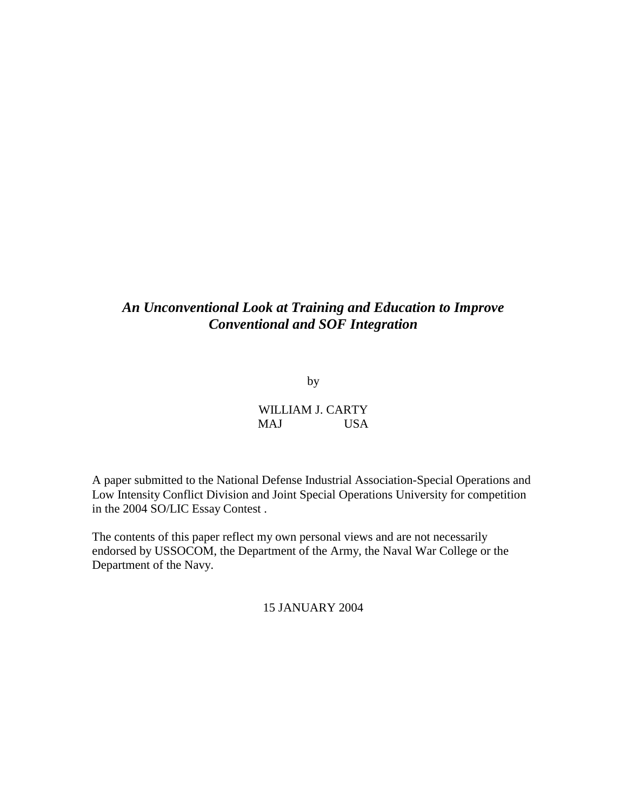## *An Unconventional Look at Training and Education to Improve Conventional and SOF Integration*

by

## WILLIAM J. CARTY MAJ USA

A paper submitted to the National Defense Industrial Association-Special Operations and Low Intensity Conflict Division and Joint Special Operations University for competition in the 2004 SO/LIC Essay Contest .

The contents of this paper reflect my own personal views and are not necessarily endorsed by USSOCOM, the Department of the Army, the Naval War College or the Department of the Navy.

15 JANUARY 2004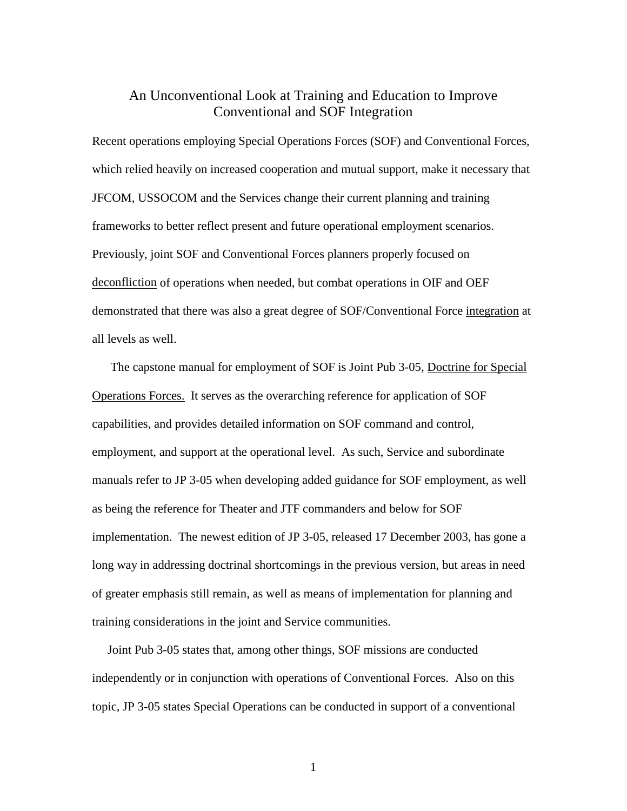## An Unconventional Look at Training and Education to Improve Conventional and SOF Integration

Recent operations employing Special Operations Forces (SOF) and Conventional Forces, which relied heavily on increased cooperation and mutual support, make it necessary that JFCOM, USSOCOM and the Services change their current planning and training frameworks to better reflect present and future operational employment scenarios. Previously, joint SOF and Conventional Forces planners properly focused on deconfliction of operations when needed, but combat operations in OIF and OEF demonstrated that there was also a great degree of SOF/Conventional Force integration at all levels as well.

 The capstone manual for employment of SOF is Joint Pub 3-05, Doctrine for Special Operations Forces. It serves as the overarching reference for application of SOF capabilities, and provides detailed information on SOF command and control, employment, and support at the operational level. As such, Service and subordinate manuals refer to JP 3-05 when developing added guidance for SOF employment, as well as being the reference for Theater and JTF commanders and below for SOF implementation. The newest edition of JP 3-05, released 17 December 2003, has gone a long way in addressing doctrinal shortcomings in the previous version, but areas in need of greater emphasis still remain, as well as means of implementation for planning and training considerations in the joint and Service communities.

 Joint Pub 3-05 states that, among other things, SOF missions are conducted independently or in conjunction with operations of Conventional Forces. Also on this topic, JP 3-05 states Special Operations can be conducted in support of a conventional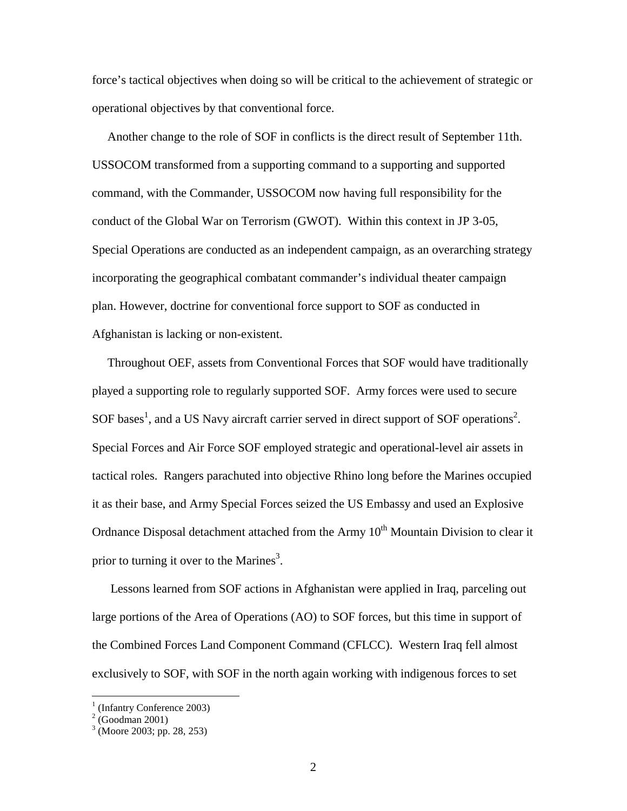force's tactical objectives when doing so will be critical to the achievement of strategic or operational objectives by that conventional force.

 Another change to the role of SOF in conflicts is the direct result of September 11th. USSOCOM transformed from a supporting command to a supporting and supported command, with the Commander, USSOCOM now having full responsibility for the conduct of the Global War on Terrorism (GWOT). Within this context in JP 3-05, Special Operations are conducted as an independent campaign, as an overarching strategy incorporating the geographical combatant commander's individual theater campaign plan. However, doctrine for conventional force support to SOF as conducted in Afghanistan is lacking or non-existent.

 Throughout OEF, assets from Conventional Forces that SOF would have traditionally played a supporting role to regularly supported SOF. Army forces were used to secure SOF bases<sup>1</sup>, and a US Navy aircraft carrier served in direct support of SOF operations<sup>2</sup>. Special Forces and Air Force SOF employed strategic and operational-level air assets in tactical roles. Rangers parachuted into objective Rhino long before the Marines occupied it as their base, and Army Special Forces seized the US Embassy and used an Explosive Ordnance Disposal detachment attached from the Army  $10<sup>th</sup>$  Mountain Division to clear it prior to turning it over to the Marines<sup>3</sup>.

 Lessons learned from SOF actions in Afghanistan were applied in Iraq, parceling out large portions of the Area of Operations (AO) to SOF forces, but this time in support of the Combined Forces Land Component Command (CFLCC). Western Iraq fell almost exclusively to SOF, with SOF in the north again working with indigenous forces to set

 1 (Infantry Conference 2003) 2 (Goodman 2001)

<sup>3</sup> (Moore 2003; pp. 28, 253)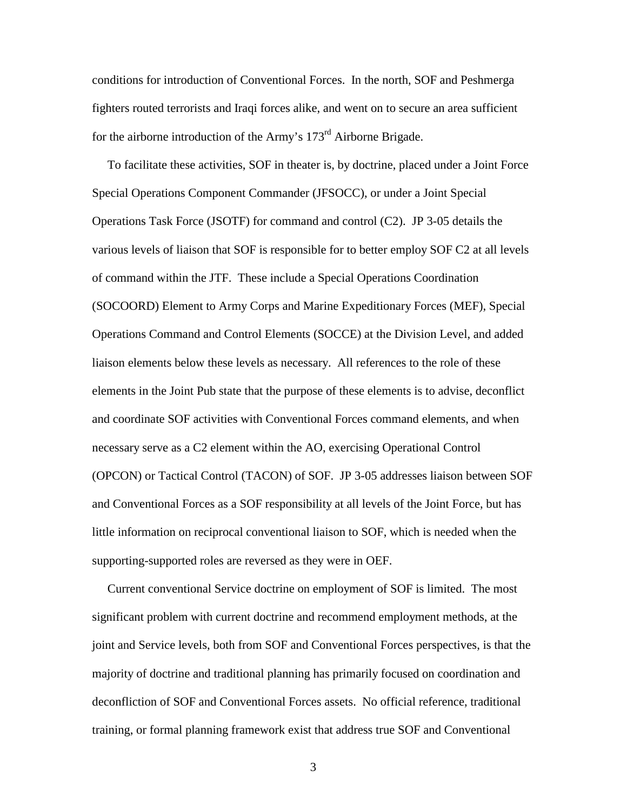conditions for introduction of Conventional Forces. In the north, SOF and Peshmerga fighters routed terrorists and Iraqi forces alike, and went on to secure an area sufficient for the airborne introduction of the Army's  $173<sup>rd</sup>$  Airborne Brigade.

 To facilitate these activities, SOF in theater is, by doctrine, placed under a Joint Force Special Operations Component Commander (JFSOCC), or under a Joint Special Operations Task Force (JSOTF) for command and control (C2). JP 3-05 details the various levels of liaison that SOF is responsible for to better employ SOF C2 at all levels of command within the JTF. These include a Special Operations Coordination (SOCOORD) Element to Army Corps and Marine Expeditionary Forces (MEF), Special Operations Command and Control Elements (SOCCE) at the Division Level, and added liaison elements below these levels as necessary. All references to the role of these elements in the Joint Pub state that the purpose of these elements is to advise, deconflict and coordinate SOF activities with Conventional Forces command elements, and when necessary serve as a C2 element within the AO, exercising Operational Control (OPCON) or Tactical Control (TACON) of SOF. JP 3-05 addresses liaison between SOF and Conventional Forces as a SOF responsibility at all levels of the Joint Force, but has little information on reciprocal conventional liaison to SOF, which is needed when the supporting-supported roles are reversed as they were in OEF.

 Current conventional Service doctrine on employment of SOF is limited. The most significant problem with current doctrine and recommend employment methods, at the joint and Service levels, both from SOF and Conventional Forces perspectives, is that the majority of doctrine and traditional planning has primarily focused on coordination and deconfliction of SOF and Conventional Forces assets. No official reference, traditional training, or formal planning framework exist that address true SOF and Conventional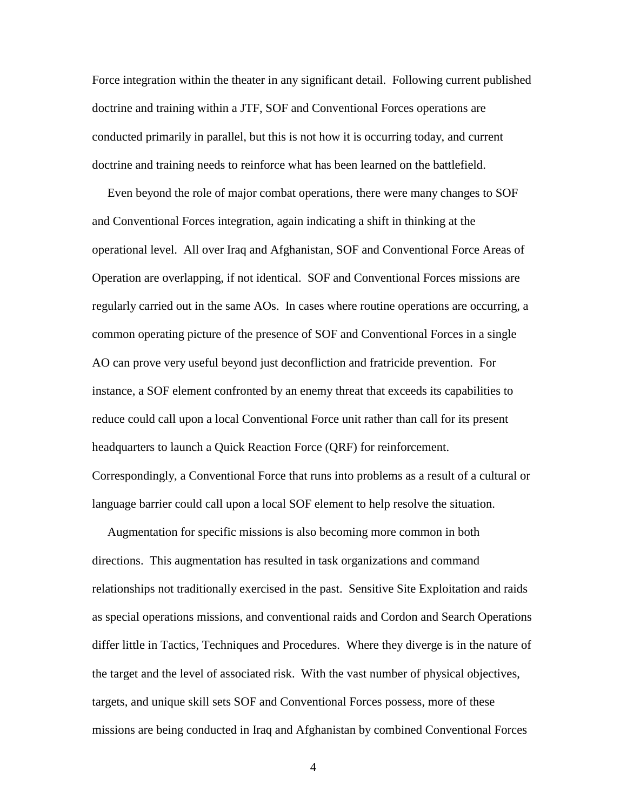Force integration within the theater in any significant detail. Following current published doctrine and training within a JTF, SOF and Conventional Forces operations are conducted primarily in parallel, but this is not how it is occurring today, and current doctrine and training needs to reinforce what has been learned on the battlefield.

 Even beyond the role of major combat operations, there were many changes to SOF and Conventional Forces integration, again indicating a shift in thinking at the operational level. All over Iraq and Afghanistan, SOF and Conventional Force Areas of Operation are overlapping, if not identical. SOF and Conventional Forces missions are regularly carried out in the same AOs. In cases where routine operations are occurring, a common operating picture of the presence of SOF and Conventional Forces in a single AO can prove very useful beyond just deconfliction and fratricide prevention. For instance, a SOF element confronted by an enemy threat that exceeds its capabilities to reduce could call upon a local Conventional Force unit rather than call for its present headquarters to launch a Quick Reaction Force (QRF) for reinforcement. Correspondingly, a Conventional Force that runs into problems as a result of a cultural or language barrier could call upon a local SOF element to help resolve the situation.

 Augmentation for specific missions is also becoming more common in both directions. This augmentation has resulted in task organizations and command relationships not traditionally exercised in the past. Sensitive Site Exploitation and raids as special operations missions, and conventional raids and Cordon and Search Operations differ little in Tactics, Techniques and Procedures. Where they diverge is in the nature of the target and the level of associated risk. With the vast number of physical objectives, targets, and unique skill sets SOF and Conventional Forces possess, more of these missions are being conducted in Iraq and Afghanistan by combined Conventional Forces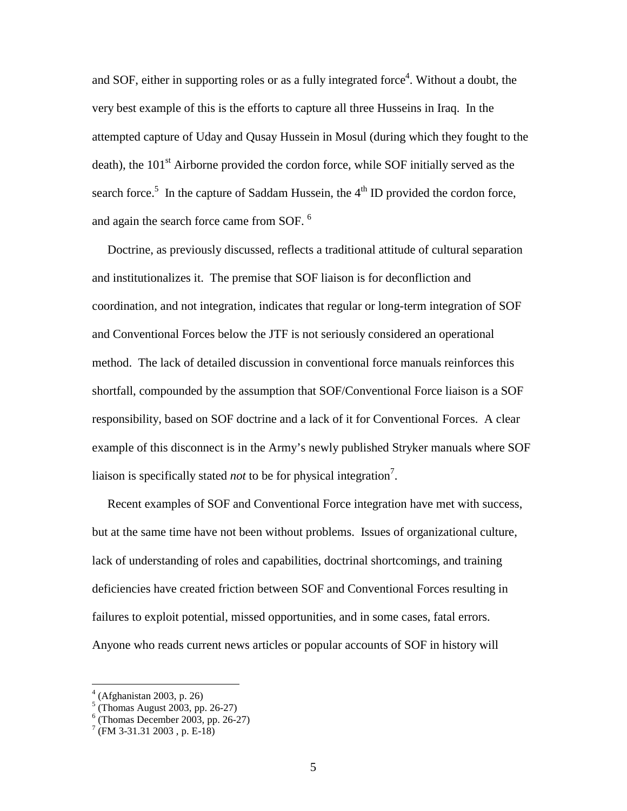and SOF, either in supporting roles or as a fully integrated force<sup>4</sup>. Without a doubt, the very best example of this is the efforts to capture all three Husseins in Iraq. In the attempted capture of Uday and Qusay Hussein in Mosul (during which they fought to the death), the  $101<sup>st</sup>$  Airborne provided the cordon force, while SOF initially served as the search force.<sup>5</sup> In the capture of Saddam Hussein, the  $4<sup>th</sup>$  ID provided the cordon force, and again the search force came from SOF.<sup>6</sup>

 Doctrine, as previously discussed, reflects a traditional attitude of cultural separation and institutionalizes it. The premise that SOF liaison is for deconfliction and coordination, and not integration, indicates that regular or long-term integration of SOF and Conventional Forces below the JTF is not seriously considered an operational method. The lack of detailed discussion in conventional force manuals reinforces this shortfall, compounded by the assumption that SOF/Conventional Force liaison is a SOF responsibility, based on SOF doctrine and a lack of it for Conventional Forces. A clear example of this disconnect is in the Army's newly published Stryker manuals where SOF liaison is specifically stated *not* to be for physical integration<sup>7</sup>.

 Recent examples of SOF and Conventional Force integration have met with success, but at the same time have not been without problems. Issues of organizational culture, lack of understanding of roles and capabilities, doctrinal shortcomings, and training deficiencies have created friction between SOF and Conventional Forces resulting in failures to exploit potential, missed opportunities, and in some cases, fatal errors. Anyone who reads current news articles or popular accounts of SOF in history will

 4 (Afghanistan 2003, p. 26) 5 (Thomas August 2003, pp. 26-27) 6

 $\frac{6}{10}$  (Thomas December 2003, pp. 26-27)

 $7$  (FM 3-31.31 2003, p. E-18)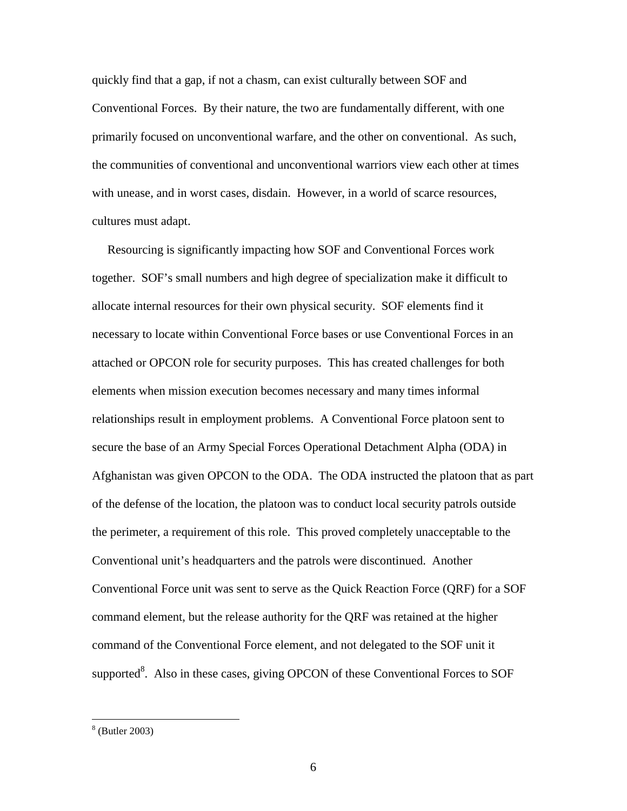quickly find that a gap, if not a chasm, can exist culturally between SOF and Conventional Forces. By their nature, the two are fundamentally different, with one primarily focused on unconventional warfare, and the other on conventional. As such, the communities of conventional and unconventional warriors view each other at times with unease, and in worst cases, disdain. However, in a world of scarce resources, cultures must adapt.

 Resourcing is significantly impacting how SOF and Conventional Forces work together. SOF's small numbers and high degree of specialization make it difficult to allocate internal resources for their own physical security. SOF elements find it necessary to locate within Conventional Force bases or use Conventional Forces in an attached or OPCON role for security purposes. This has created challenges for both elements when mission execution becomes necessary and many times informal relationships result in employment problems. A Conventional Force platoon sent to secure the base of an Army Special Forces Operational Detachment Alpha (ODA) in Afghanistan was given OPCON to the ODA. The ODA instructed the platoon that as part of the defense of the location, the platoon was to conduct local security patrols outside the perimeter, a requirement of this role. This proved completely unacceptable to the Conventional unit's headquarters and the patrols were discontinued. Another Conventional Force unit was sent to serve as the Quick Reaction Force (QRF) for a SOF command element, but the release authority for the QRF was retained at the higher command of the Conventional Force element, and not delegated to the SOF unit it supported<sup>8</sup>. Also in these cases, giving OPCON of these Conventional Forces to SOF

<sup>8</sup> (Butler 2003)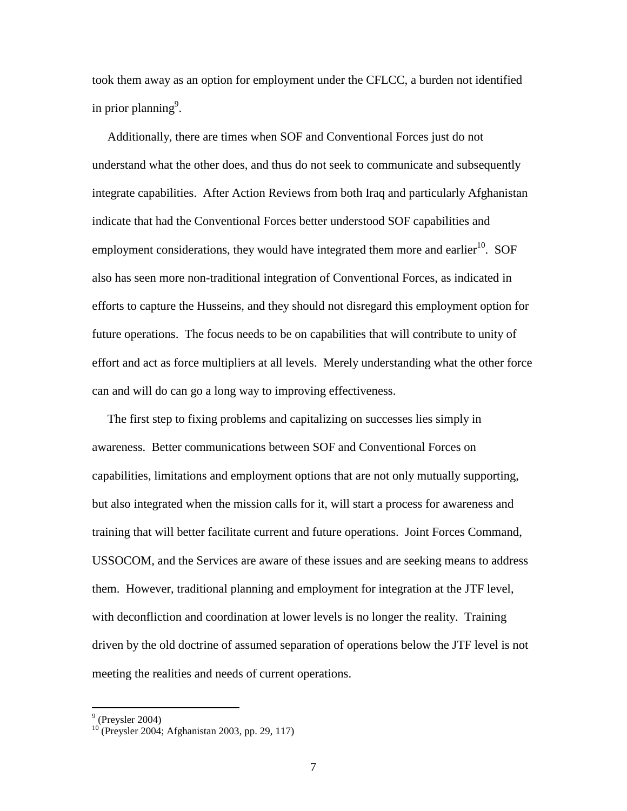took them away as an option for employment under the CFLCC, a burden not identified in prior planning<sup>9</sup>.

 Additionally, there are times when SOF and Conventional Forces just do not understand what the other does, and thus do not seek to communicate and subsequently integrate capabilities. After Action Reviews from both Iraq and particularly Afghanistan indicate that had the Conventional Forces better understood SOF capabilities and employment considerations, they would have integrated them more and earlier<sup>10</sup>. SOF also has seen more non-traditional integration of Conventional Forces, as indicated in efforts to capture the Husseins, and they should not disregard this employment option for future operations. The focus needs to be on capabilities that will contribute to unity of effort and act as force multipliers at all levels. Merely understanding what the other force can and will do can go a long way to improving effectiveness.

 The first step to fixing problems and capitalizing on successes lies simply in awareness. Better communications between SOF and Conventional Forces on capabilities, limitations and employment options that are not only mutually supporting, but also integrated when the mission calls for it, will start a process for awareness and training that will better facilitate current and future operations. Joint Forces Command, USSOCOM, and the Services are aware of these issues and are seeking means to address them. However, traditional planning and employment for integration at the JTF level, with deconfliction and coordination at lower levels is no longer the reality. Training driven by the old doctrine of assumed separation of operations below the JTF level is not meeting the realities and needs of current operations.

<sup>&</sup>lt;sup>9</sup> (Preysler 2004)

 $10^{10}$  (Preysler 2004; Afghanistan 2003, pp. 29, 117)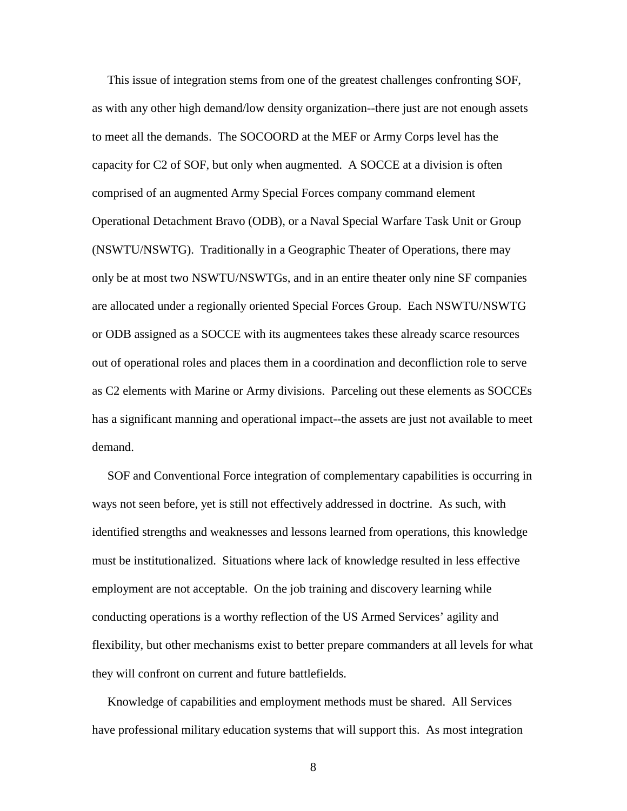This issue of integration stems from one of the greatest challenges confronting SOF, as with any other high demand/low density organization--there just are not enough assets to meet all the demands. The SOCOORD at the MEF or Army Corps level has the capacity for C2 of SOF, but only when augmented. A SOCCE at a division is often comprised of an augmented Army Special Forces company command element Operational Detachment Bravo (ODB), or a Naval Special Warfare Task Unit or Group (NSWTU/NSWTG). Traditionally in a Geographic Theater of Operations, there may only be at most two NSWTU/NSWTGs, and in an entire theater only nine SF companies are allocated under a regionally oriented Special Forces Group. Each NSWTU/NSWTG or ODB assigned as a SOCCE with its augmentees takes these already scarce resources out of operational roles and places them in a coordination and deconfliction role to serve as C2 elements with Marine or Army divisions. Parceling out these elements as SOCCEs has a significant manning and operational impact--the assets are just not available to meet demand.

 SOF and Conventional Force integration of complementary capabilities is occurring in ways not seen before, yet is still not effectively addressed in doctrine. As such, with identified strengths and weaknesses and lessons learned from operations, this knowledge must be institutionalized. Situations where lack of knowledge resulted in less effective employment are not acceptable. On the job training and discovery learning while conducting operations is a worthy reflection of the US Armed Services' agility and flexibility, but other mechanisms exist to better prepare commanders at all levels for what they will confront on current and future battlefields.

 Knowledge of capabilities and employment methods must be shared. All Services have professional military education systems that will support this. As most integration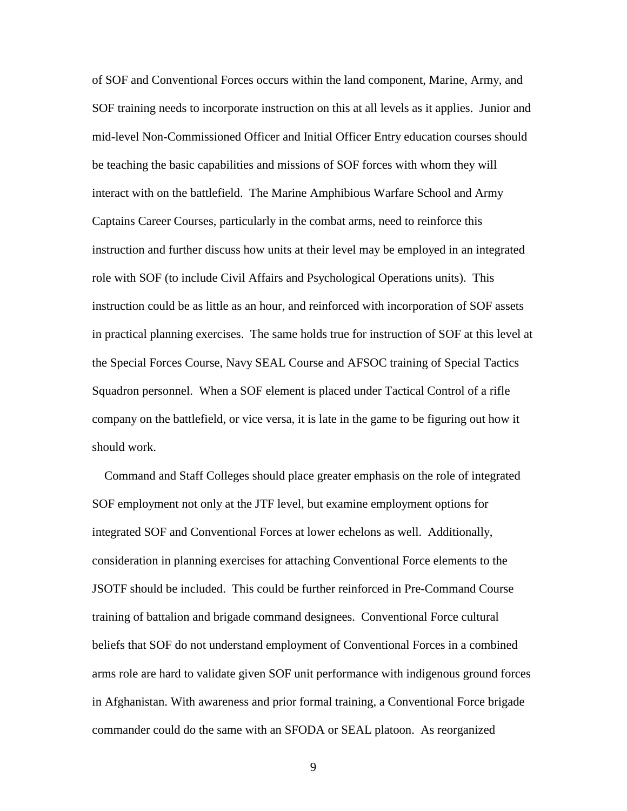of SOF and Conventional Forces occurs within the land component, Marine, Army, and SOF training needs to incorporate instruction on this at all levels as it applies. Junior and mid-level Non-Commissioned Officer and Initial Officer Entry education courses should be teaching the basic capabilities and missions of SOF forces with whom they will interact with on the battlefield. The Marine Amphibious Warfare School and Army Captains Career Courses, particularly in the combat arms, need to reinforce this instruction and further discuss how units at their level may be employed in an integrated role with SOF (to include Civil Affairs and Psychological Operations units). This instruction could be as little as an hour, and reinforced with incorporation of SOF assets in practical planning exercises. The same holds true for instruction of SOF at this level at the Special Forces Course, Navy SEAL Course and AFSOC training of Special Tactics Squadron personnel. When a SOF element is placed under Tactical Control of a rifle company on the battlefield, or vice versa, it is late in the game to be figuring out how it should work.

 Command and Staff Colleges should place greater emphasis on the role of integrated SOF employment not only at the JTF level, but examine employment options for integrated SOF and Conventional Forces at lower echelons as well. Additionally, consideration in planning exercises for attaching Conventional Force elements to the JSOTF should be included. This could be further reinforced in Pre-Command Course training of battalion and brigade command designees. Conventional Force cultural beliefs that SOF do not understand employment of Conventional Forces in a combined arms role are hard to validate given SOF unit performance with indigenous ground forces in Afghanistan. With awareness and prior formal training, a Conventional Force brigade commander could do the same with an SFODA or SEAL platoon. As reorganized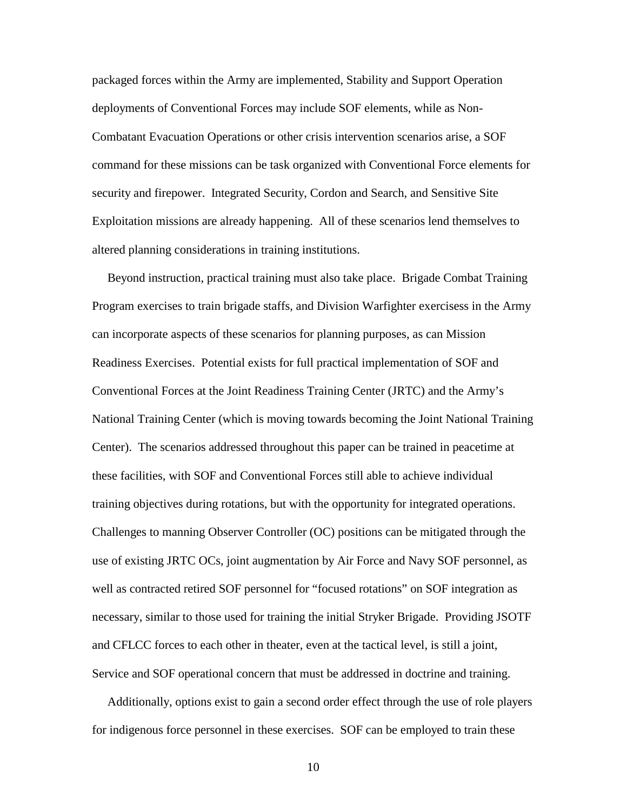packaged forces within the Army are implemented, Stability and Support Operation deployments of Conventional Forces may include SOF elements, while as Non-Combatant Evacuation Operations or other crisis intervention scenarios arise, a SOF command for these missions can be task organized with Conventional Force elements for security and firepower. Integrated Security, Cordon and Search, and Sensitive Site Exploitation missions are already happening. All of these scenarios lend themselves to altered planning considerations in training institutions.

 Beyond instruction, practical training must also take place. Brigade Combat Training Program exercises to train brigade staffs, and Division Warfighter exercisess in the Army can incorporate aspects of these scenarios for planning purposes, as can Mission Readiness Exercises. Potential exists for full practical implementation of SOF and Conventional Forces at the Joint Readiness Training Center (JRTC) and the Army's National Training Center (which is moving towards becoming the Joint National Training Center). The scenarios addressed throughout this paper can be trained in peacetime at these facilities, with SOF and Conventional Forces still able to achieve individual training objectives during rotations, but with the opportunity for integrated operations. Challenges to manning Observer Controller (OC) positions can be mitigated through the use of existing JRTC OCs, joint augmentation by Air Force and Navy SOF personnel, as well as contracted retired SOF personnel for "focused rotations" on SOF integration as necessary, similar to those used for training the initial Stryker Brigade. Providing JSOTF and CFLCC forces to each other in theater, even at the tactical level, is still a joint, Service and SOF operational concern that must be addressed in doctrine and training.

 Additionally, options exist to gain a second order effect through the use of role players for indigenous force personnel in these exercises. SOF can be employed to train these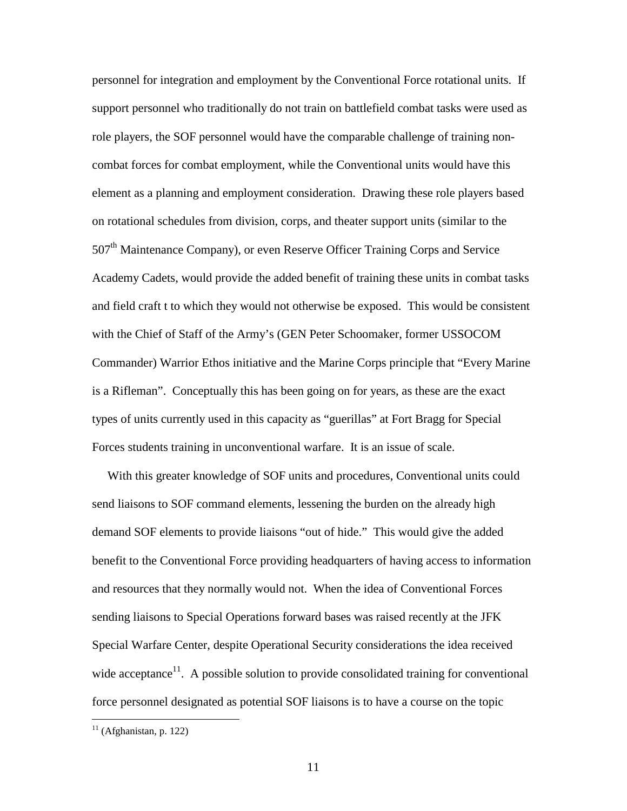personnel for integration and employment by the Conventional Force rotational units. If support personnel who traditionally do not train on battlefield combat tasks were used as role players, the SOF personnel would have the comparable challenge of training noncombat forces for combat employment, while the Conventional units would have this element as a planning and employment consideration. Drawing these role players based on rotational schedules from division, corps, and theater support units (similar to the 507<sup>th</sup> Maintenance Company), or even Reserve Officer Training Corps and Service Academy Cadets, would provide the added benefit of training these units in combat tasks and field craft t to which they would not otherwise be exposed. This would be consistent with the Chief of Staff of the Army's (GEN Peter Schoomaker, former USSOCOM Commander) Warrior Ethos initiative and the Marine Corps principle that "Every Marine is a Rifleman". Conceptually this has been going on for years, as these are the exact types of units currently used in this capacity as "guerillas" at Fort Bragg for Special Forces students training in unconventional warfare. It is an issue of scale.

 With this greater knowledge of SOF units and procedures, Conventional units could send liaisons to SOF command elements, lessening the burden on the already high demand SOF elements to provide liaisons "out of hide." This would give the added benefit to the Conventional Force providing headquarters of having access to information and resources that they normally would not. When the idea of Conventional Forces sending liaisons to Special Operations forward bases was raised recently at the JFK Special Warfare Center, despite Operational Security considerations the idea received wide acceptance<sup>11</sup>. A possible solution to provide consolidated training for conventional force personnel designated as potential SOF liaisons is to have a course on the topic

 $11$  (Afghanistan, p. 122)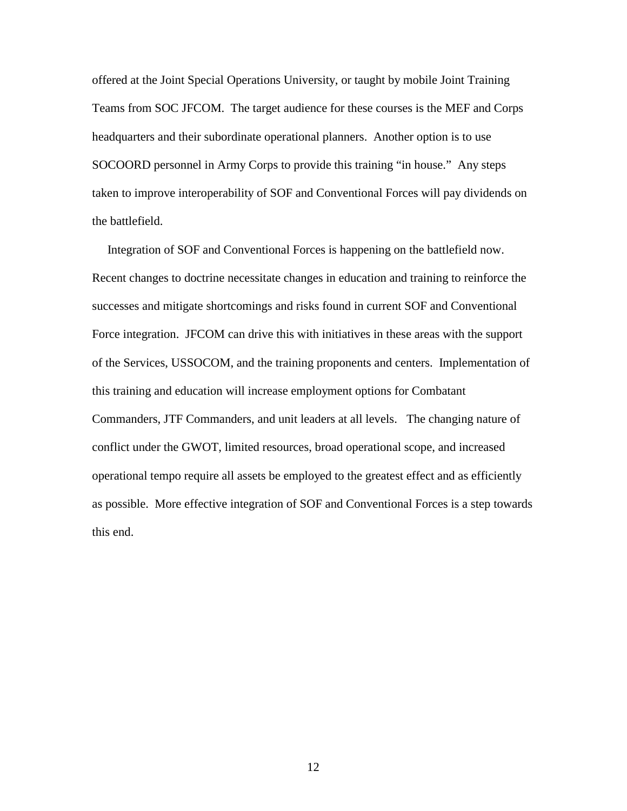offered at the Joint Special Operations University, or taught by mobile Joint Training Teams from SOC JFCOM. The target audience for these courses is the MEF and Corps headquarters and their subordinate operational planners. Another option is to use SOCOORD personnel in Army Corps to provide this training "in house." Any steps taken to improve interoperability of SOF and Conventional Forces will pay dividends on the battlefield.

 Integration of SOF and Conventional Forces is happening on the battlefield now. Recent changes to doctrine necessitate changes in education and training to reinforce the successes and mitigate shortcomings and risks found in current SOF and Conventional Force integration. JFCOM can drive this with initiatives in these areas with the support of the Services, USSOCOM, and the training proponents and centers. Implementation of this training and education will increase employment options for Combatant Commanders, JTF Commanders, and unit leaders at all levels. The changing nature of conflict under the GWOT, limited resources, broad operational scope, and increased operational tempo require all assets be employed to the greatest effect and as efficiently as possible. More effective integration of SOF and Conventional Forces is a step towards this end.